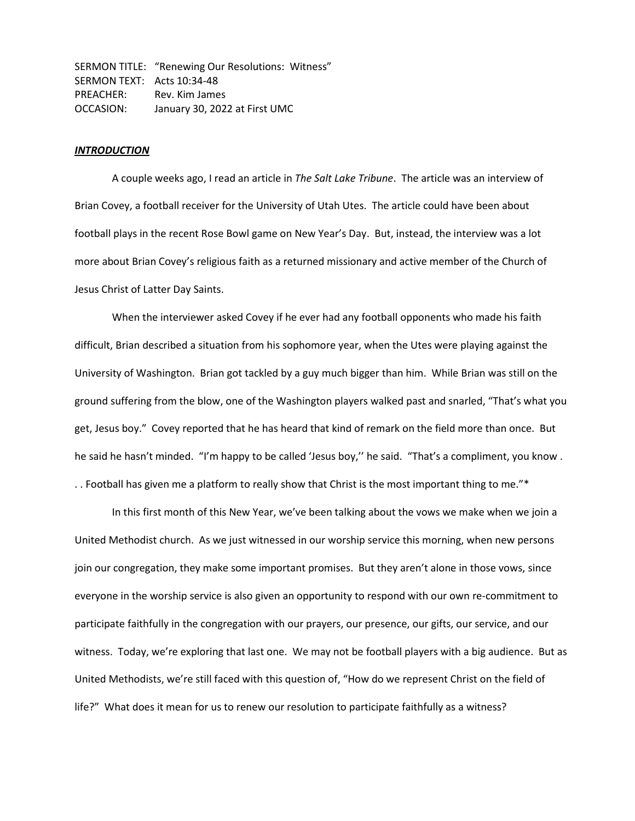SERMON TITLE: "Renewing Our Resolutions: Witness" SERMON TEXT: Acts 10:34-48 PREACHER: Rev. Kim James OCCASION: January 30, 2022 at First UMC

#### *INTRODUCTION*

A couple weeks ago, I read an article in *The Salt Lake Tribune*. The article was an interview of Brian Covey, a football receiver for the University of Utah Utes. The article could have been about football plays in the recent Rose Bowl game on New Year's Day. But, instead, the interview was a lot more about Brian Covey's religious faith as a returned missionary and active member of the Church of Jesus Christ of Latter Day Saints.

When the interviewer asked Covey if he ever had any football opponents who made his faith difficult, Brian described a situation from his sophomore year, when the Utes were playing against the University of Washington. Brian got tackled by a guy much bigger than him. While Brian was still on the ground suffering from the blow, one of the Washington players walked past and snarled, "That's what you get, Jesus boy." Covey reported that he has heard that kind of remark on the field more than once. But he said he hasn't minded. "I'm happy to be called 'Jesus boy,'' he said. "That's a compliment, you know . . . Football has given me a platform to really show that Christ is the most important thing to me."\*

In this first month of this New Year, we've been talking about the vows we make when we join a United Methodist church. As we just witnessed in our worship service this morning, when new persons join our congregation, they make some important promises. But they aren't alone in those vows, since everyone in the worship service is also given an opportunity to respond with our own re-commitment to participate faithfully in the congregation with our prayers, our presence, our gifts, our service, and our witness. Today, we're exploring that last one. We may not be football players with a big audience. But as United Methodists, we're still faced with this question of, "How do we represent Christ on the field of life?" What does it mean for us to renew our resolution to participate faithfully as a witness?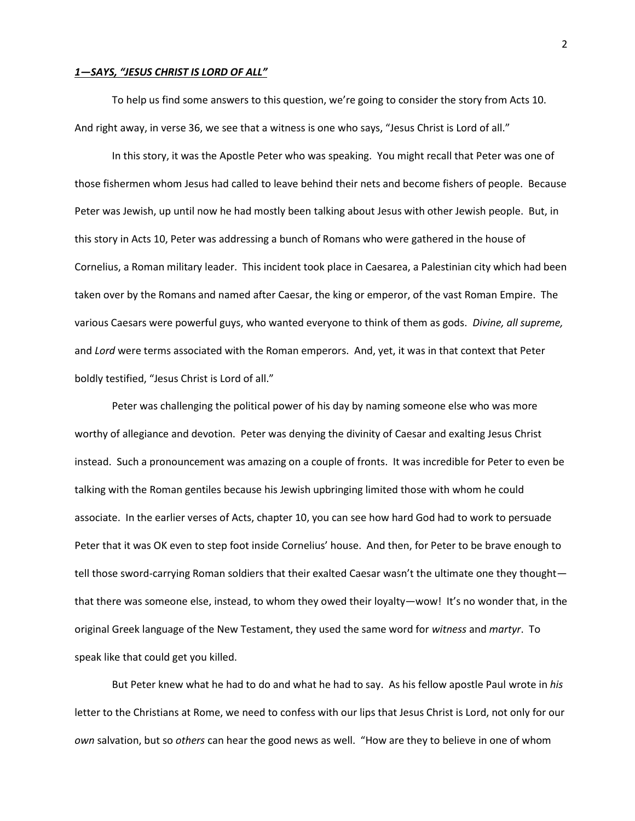# *1—SAYS, "JESUS CHRIST IS LORD OF ALL"*

To help us find some answers to this question, we're going to consider the story from Acts 10. And right away, in verse 36, we see that a witness is one who says, "Jesus Christ is Lord of all."

In this story, it was the Apostle Peter who was speaking. You might recall that Peter was one of those fishermen whom Jesus had called to leave behind their nets and become fishers of people. Because Peter was Jewish, up until now he had mostly been talking about Jesus with other Jewish people. But, in this story in Acts 10, Peter was addressing a bunch of Romans who were gathered in the house of Cornelius, a Roman military leader. This incident took place in Caesarea, a Palestinian city which had been taken over by the Romans and named after Caesar, the king or emperor, of the vast Roman Empire. The various Caesars were powerful guys, who wanted everyone to think of them as gods. *Divine, all supreme,*  and *Lord* were terms associated with the Roman emperors. And, yet, it was in that context that Peter boldly testified, "Jesus Christ is Lord of all."

Peter was challenging the political power of his day by naming someone else who was more worthy of allegiance and devotion. Peter was denying the divinity of Caesar and exalting Jesus Christ instead. Such a pronouncement was amazing on a couple of fronts. It was incredible for Peter to even be talking with the Roman gentiles because his Jewish upbringing limited those with whom he could associate. In the earlier verses of Acts, chapter 10, you can see how hard God had to work to persuade Peter that it was OK even to step foot inside Cornelius' house. And then, for Peter to be brave enough to tell those sword-carrying Roman soldiers that their exalted Caesar wasn't the ultimate one they thought that there was someone else, instead, to whom they owed their loyalty—wow! It's no wonder that, in the original Greek language of the New Testament, they used the same word for *witness* and *martyr*. To speak like that could get you killed.

But Peter knew what he had to do and what he had to say. As his fellow apostle Paul wrote in *his* letter to the Christians at Rome, we need to confess with our lips that Jesus Christ is Lord, not only for our *own* salvation, but so *others* can hear the good news as well. "How are they to believe in one of whom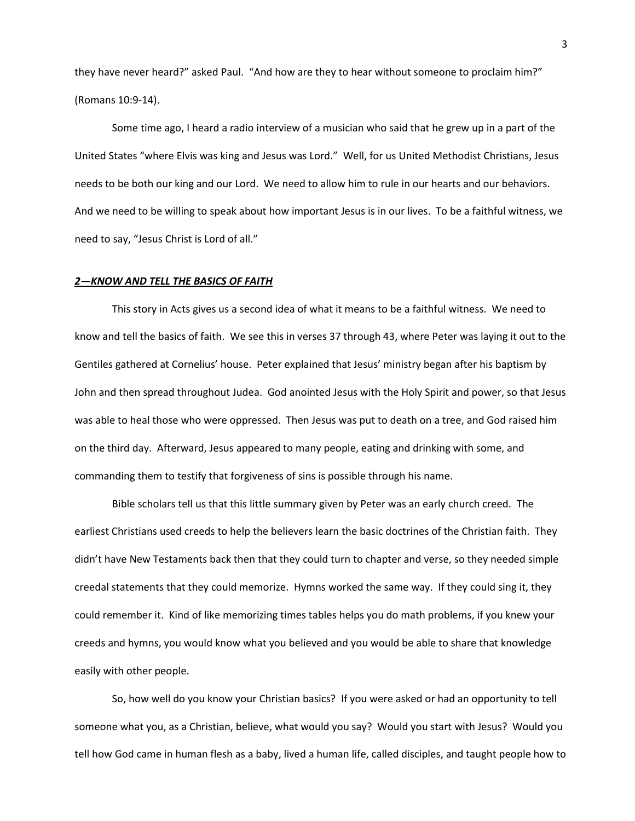they have never heard?" asked Paul. "And how are they to hear without someone to proclaim him?" (Romans 10:9-14).

Some time ago, I heard a radio interview of a musician who said that he grew up in a part of the United States "where Elvis was king and Jesus was Lord." Well, for us United Methodist Christians, Jesus needs to be both our king and our Lord. We need to allow him to rule in our hearts and our behaviors. And we need to be willing to speak about how important Jesus is in our lives. To be a faithful witness, we need to say, "Jesus Christ is Lord of all."

### *2—KNOW AND TELL THE BASICS OF FAITH*

This story in Acts gives us a second idea of what it means to be a faithful witness. We need to know and tell the basics of faith. We see this in verses 37 through 43, where Peter was laying it out to the Gentiles gathered at Cornelius' house. Peter explained that Jesus' ministry began after his baptism by John and then spread throughout Judea. God anointed Jesus with the Holy Spirit and power, so that Jesus was able to heal those who were oppressed. Then Jesus was put to death on a tree, and God raised him on the third day. Afterward, Jesus appeared to many people, eating and drinking with some, and commanding them to testify that forgiveness of sins is possible through his name.

Bible scholars tell us that this little summary given by Peter was an early church creed. The earliest Christians used creeds to help the believers learn the basic doctrines of the Christian faith. They didn't have New Testaments back then that they could turn to chapter and verse, so they needed simple creedal statements that they could memorize. Hymns worked the same way. If they could sing it, they could remember it. Kind of like memorizing times tables helps you do math problems, if you knew your creeds and hymns, you would know what you believed and you would be able to share that knowledge easily with other people.

So, how well do you know your Christian basics? If you were asked or had an opportunity to tell someone what you, as a Christian, believe, what would you say? Would you start with Jesus? Would you tell how God came in human flesh as a baby, lived a human life, called disciples, and taught people how to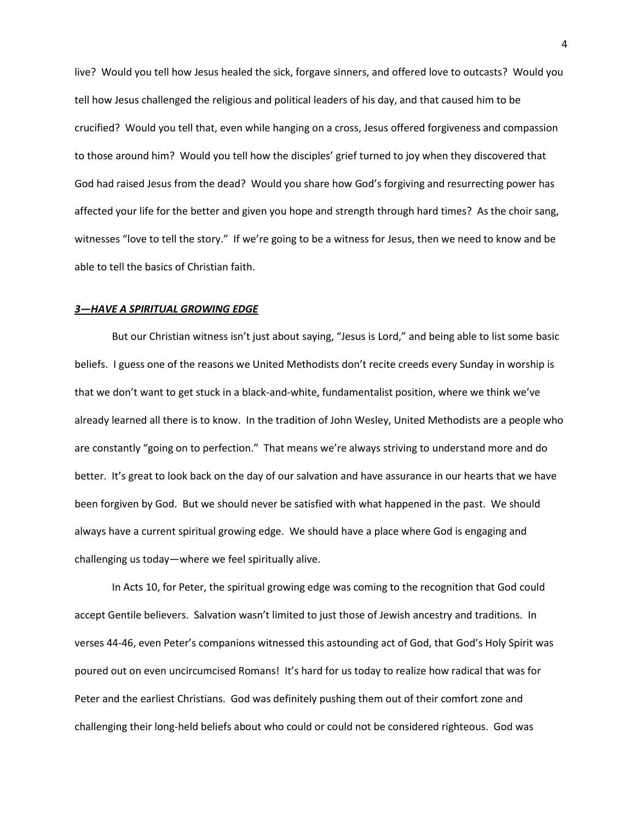live? Would you tell how Jesus healed the sick, forgave sinners, and offered love to outcasts? Would you tell how Jesus challenged the religious and political leaders of his day, and that caused him to be crucified? Would you tell that, even while hanging on a cross, Jesus offered forgiveness and compassion to those around him? Would you tell how the disciples' grief turned to joy when they discovered that God had raised Jesus from the dead? Would you share how God's forgiving and resurrecting power has affected your life for the better and given you hope and strength through hard times? As the choir sang, witnesses "love to tell the story." If we're going to be a witness for Jesus, then we need to know and be able to tell the basics of Christian faith.

## *3—HAVE A SPIRITUAL GROWING EDGE*

But our Christian witness isn't just about saying, "Jesus is Lord," and being able to list some basic beliefs. I guess one of the reasons we United Methodists don't recite creeds every Sunday in worship is that we don't want to get stuck in a black-and-white, fundamentalist position, where we think we've already learned all there is to know. In the tradition of John Wesley, United Methodists are a people who are constantly "going on to perfection." That means we're always striving to understand more and do better. It's great to look back on the day of our salvation and have assurance in our hearts that we have been forgiven by God. But we should never be satisfied with what happened in the past. We should always have a current spiritual growing edge. We should have a place where God is engaging and challenging us today—where we feel spiritually alive.

In Acts 10, for Peter, the spiritual growing edge was coming to the recognition that God could accept Gentile believers. Salvation wasn't limited to just those of Jewish ancestry and traditions. In verses 44-46, even Peter's companions witnessed this astounding act of God, that God's Holy Spirit was poured out on even uncircumcised Romans! It's hard for us today to realize how radical that was for Peter and the earliest Christians. God was definitely pushing them out of their comfort zone and challenging their long-held beliefs about who could or could not be considered righteous. God was